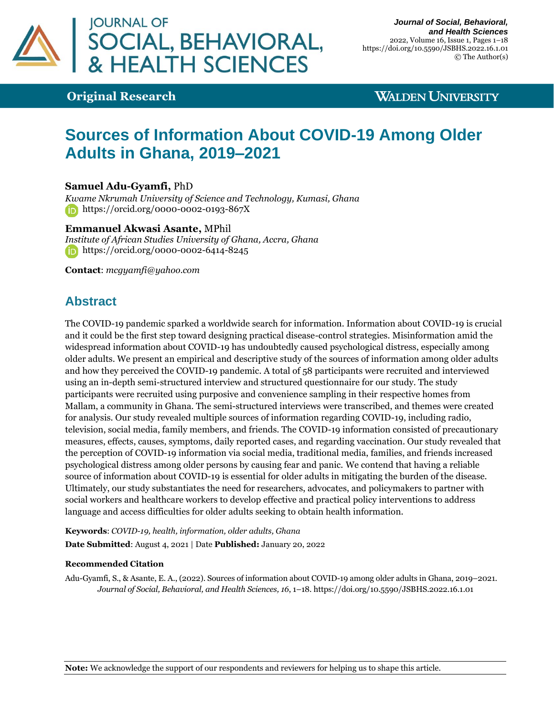

# **Original Research**

# **WALDEN UNIVERSITY**

# **Sources of Information About COVID-19 Among Older Adults in Ghana, 2019–2021**

### **Samuel Adu-Gyamfi,** PhD

*Kwame Nkrumah University of Science and Technology, Kumasi, Ghana* [https://orcid.org/0](https://orcid.org/0000-0000-0000-0000)000-0002-0193-867X

### **Emmanuel Akwasi Asante,** MPhil

*Institute of African Studies University of Ghana, Accra, Ghana* [https://orcid.org/0000-0002-6414-8245](https://orcid.org/0000-0000-0000-0000)

**Contact**: *[mcgyamfi@yahoo.com](mailto:mcgyamfi@yahoo.com)*

# **Abstract**

The COVID-19 pandemic sparked a worldwide search for information. Information about COVID-19 is crucial and it could be the first step toward designing practical disease-control strategies. Misinformation amid the widespread information about COVID-19 has undoubtedly caused psychological distress, especially among older adults. We present an empirical and descriptive study of the sources of information among older adults and how they perceived the COVID-19 pandemic. A total of 58 participants were recruited and interviewed using an in-depth semi-structured interview and structured questionnaire for our study. The study participants were recruited using purposive and convenience sampling in their respective homes from Mallam, a community in Ghana. The semi-structured interviews were transcribed, and themes were created for analysis. Our study revealed multiple sources of information regarding COVID-19, including radio, television, social media, family members, and friends. The COVID-19 information consisted of precautionary measures, effects, causes, symptoms, daily reported cases, and regarding vaccination. Our study revealed that the perception of COVID-19 information via social media, traditional media, families, and friends increased psychological distress among older persons by causing fear and panic. We contend that having a reliable source of information about COVID-19 is essential for older adults in mitigating the burden of the disease. Ultimately, our study substantiates the need for researchers, advocates, and policymakers to partner with social workers and healthcare workers to develop effective and practical policy interventions to address language and access difficulties for older adults seeking to obtain health information.

**Keywords**: *COVID-19, health, information, older adults, Ghana*

**Date Submitted**: August 4, 2021 | Date **Published:** January 20, 2022

### **Recommended Citation**

Adu-Gyamfi, S., & Asante, E. A., (2022). Sources of information about COVID-19 among older adults in Ghana, 2019–2021. *Journal of Social, Behavioral, and Health Sciences, 16*, 1–18[. https://doi.org/10.5590/JSBHS.2022.16.1.01](https://doi.org/10.5590/JSBHS.2022.16.1.01)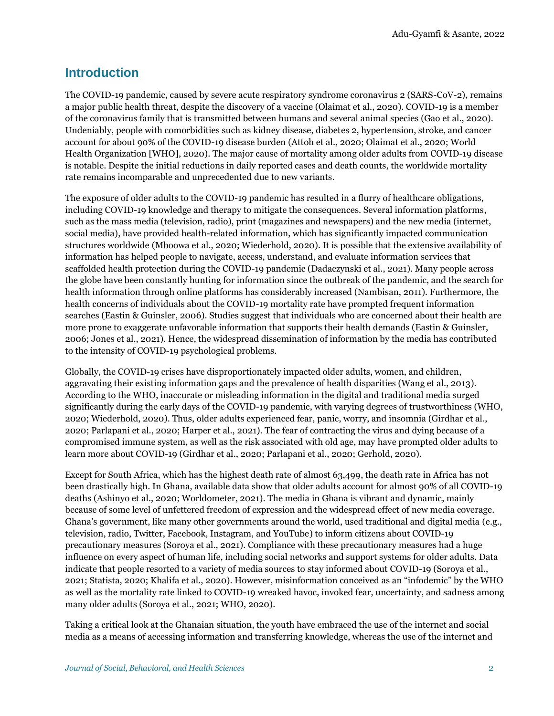# **Introduction**

The COVID-19 pandemic, caused by severe acute respiratory syndrome coronavirus 2 (SARS-CoV-2), remains a major public health threat, despite the discovery of a vaccine (Olaimat et al., 2020). COVID-19 is a member of the coronavirus family that is transmitted between humans and several animal species (Gao et al., 2020). Undeniably, people with comorbidities such as kidney disease, diabetes 2, hypertension, stroke, and cancer account for about 90% of the COVID-19 disease burden (Attoh et al., 2020; Olaimat et al., 2020; World Health Organization [WHO], 2020). The major cause of mortality among older adults from COVID-19 disease is notable. Despite the initial reductions in daily reported cases and death counts, the worldwide mortality rate remains incomparable and unprecedented due to new variants.

The exposure of older adults to the COVID-19 pandemic has resulted in a flurry of healthcare obligations, including COVID-19 knowledge and therapy to mitigate the consequences. Several information platforms, such as the mass media (television, radio), print (magazines and newspapers) and the new media (internet, social media), have provided health-related information, which has significantly impacted communication structures worldwide (Mboowa et al., 2020; Wiederhold, 2020). It is possible that the extensive availability of information has helped people to navigate, access, understand, and evaluate information services that scaffolded health protection during the COVID-19 pandemic (Dadaczynski et al., 2021). Many people across the globe have been constantly hunting for information since the outbreak of the pandemic, and the search for health information through online platforms has considerably increased (Nambisan, 2011). Furthermore, the health concerns of individuals about the COVID-19 mortality rate have prompted frequent information searches (Eastin & Guinsler, 2006). Studies suggest that individuals who are concerned about their health are more prone to exaggerate unfavorable information that supports their health demands (Eastin & Guinsler, 2006; Jones et al., 2021). Hence, the widespread dissemination of information by the media has contributed to the intensity of COVID-19 psychological problems.

Globally, the COVID-19 crises have disproportionately impacted older adults, women, and children, aggravating their existing information gaps and the prevalence of health disparities (Wang et al., 2013). According to the WHO, inaccurate or misleading information in the digital and traditional media surged significantly during the early days of the COVID-19 pandemic, with varying degrees of trustworthiness (WHO, 2020; Wiederhold, 2020). Thus, older adults experienced fear, panic, worry, and insomnia (Girdhar et al., 2020; Parlapani et al., 2020; Harper et al., 2021). The fear of contracting the virus and dying because of a compromised immune system, as well as the risk associated with old age, may have prompted older adults to learn more about COVID-19 (Girdhar et al., 2020; Parlapani et al., 2020; Gerhold, 2020).

Except for South Africa, which has the highest death rate of almost 63,499, the death rate in Africa has not been drastically high. In Ghana, available data show that older adults account for almost 90% of all COVID-19 deaths (Ashinyo et al., 2020; Worldometer, 2021). The media in Ghana is vibrant and dynamic, mainly because of some level of unfettered freedom of expression and the widespread effect of new media coverage. Ghana's government, like many other governments around the world, used traditional and digital media (e.g., television, radio, Twitter, Facebook, Instagram, and YouTube) to inform citizens about COVID-19 precautionary measures (Soroya et al., 2021). Compliance with these precautionary measures had a huge influence on every aspect of human life, including social networks and support systems for older adults. Data indicate that people resorted to a variety of media sources to stay informed about COVID-19 (Soroya et al., 2021; Statista, 2020; Khalifa et al., 2020). However, misinformation conceived as an "infodemic" by the WHO as well as the mortality rate linked to COVID-19 wreaked havoc, invoked fear, uncertainty, and sadness among many older adults (Soroya et al., 2021; WHO, 2020).

Taking a critical look at the Ghanaian situation, the youth have embraced the use of the internet and social media as a means of accessing information and transferring knowledge, whereas the use of the internet and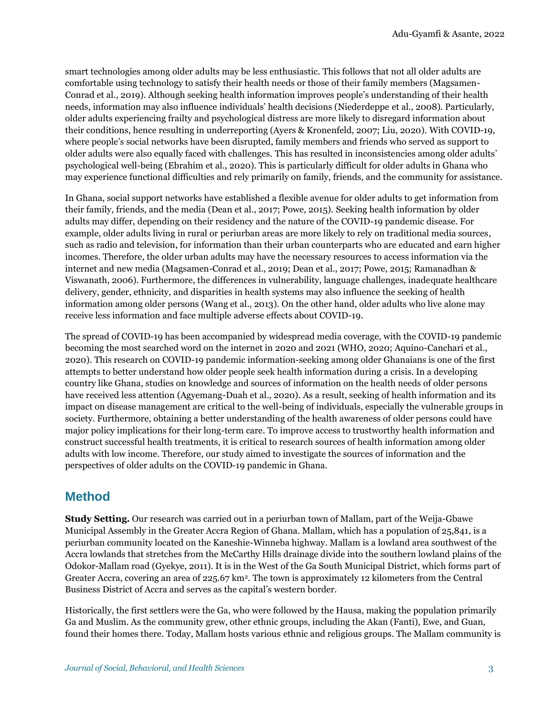smart technologies among older adults may be less enthusiastic. This follows that not all older adults are comfortable using technology to satisfy their health needs or those of their family members (Magsamen-Conrad et al., 2019). Although seeking health information improves people's understanding of their health needs, information may also influence individuals' health decisions (Niederdeppe et al., 2008). Particularly, older adults experiencing frailty and psychological distress are more likely to disregard information about their conditions, hence resulting in underreporting (Ayers & Kronenfeld, 2007; Liu, 2020). With COVID-19, where people's social networks have been disrupted, family members and friends who served as support to older adults were also equally faced with challenges. This has resulted in inconsistencies among older adults' psychological well-being (Ebrahim et al., 2020). This is particularly difficult for older adults in Ghana who may experience functional difficulties and rely primarily on family, friends, and the community for assistance.

In Ghana, social support networks have established a flexible avenue for older adults to get information from their family, friends, and the media (Dean et al., 2017; Powe, 2015). Seeking health information by older adults may differ, depending on their residency and the nature of the COVID-19 pandemic disease. For example, older adults living in rural or periurban areas are more likely to rely on traditional media sources, such as radio and television, for information than their urban counterparts who are educated and earn higher incomes. Therefore, the older urban adults may have the necessary resources to access information via the internet and new media (Magsamen-Conrad et al., 2019; Dean et al., 2017; Powe, 2015; Ramanadhan & Viswanath, 2006). Furthermore, the differences in vulnerability, language challenges, inadequate healthcare delivery, gender, ethnicity, and disparities in health systems may also influence the seeking of health information among older persons (Wang et al., 2013). On the other hand, older adults who live alone may receive less information and face multiple adverse effects about COVID-19.

The spread of COVID-19 has been accompanied by widespread media coverage, with the COVID-19 pandemic becoming the most searched word on the internet in 2020 and 2021 (WHO, 2020; Aquino-Canchari et al., 2020). This research on COVID-19 pandemic information-seeking among older Ghanaians is one of the first attempts to better understand how older people seek health information during a crisis. In a developing country like Ghana, studies on knowledge and sources of information on the health needs of older persons have received less attention (Agyemang-Duah et al., 2020). As a result, seeking of health information and its impact on disease management are critical to the well-being of individuals, especially the vulnerable groups in society. Furthermore, obtaining a better understanding of the health awareness of older persons could have major policy implications for their long-term care. To improve access to trustworthy health information and construct successful health treatments, it is critical to research sources of health information among older adults with low income. Therefore, our study aimed to investigate the sources of information and the perspectives of older adults on the COVID-19 pandemic in Ghana.

# **Method**

**Study Setting.** Our research was carried out in a periurban town of Mallam, part of the Weija-Gbawe Municipal Assembly in the Greater Accra Region of Ghana. Mallam, which has a population of 25,841, is a periurban community located on the Kaneshie-Winneba highway. Mallam is a lowland area southwest of the Accra lowlands that stretches from the McCarthy Hills drainage divide into the southern lowland plains of the Odokor-Mallam road (Gyekye, 2011). It is in the West of the Ga South Municipal District, which forms part of Greater Accra, covering an area of 225.67 km2. The town is approximately 12 kilometers from the Central Business District of Accra and serves as the capital's western border.

Historically, the first settlers were the Ga, who were followed by the Hausa, making the population primarily Ga and Muslim. As the community grew, other ethnic groups, including the Akan (Fanti), Ewe, and Guan, found their homes there. Today, Mallam hosts various ethnic and religious groups. The Mallam community is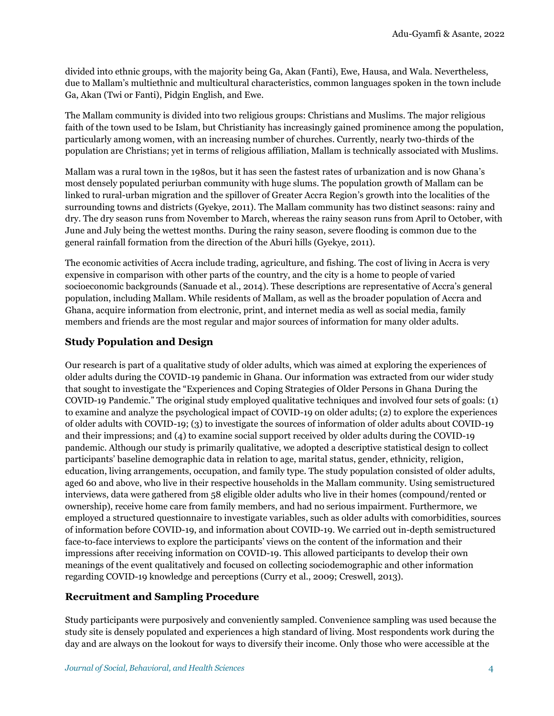divided into ethnic groups, with the majority being Ga, Akan (Fanti), Ewe, Hausa, and Wala. Nevertheless, due to Mallam's multiethnic and multicultural characteristics, common languages spoken in the town include Ga, Akan (Twi or Fanti), Pidgin English, and Ewe.

The Mallam community is divided into two religious groups: Christians and Muslims. The major religious faith of the town used to be Islam, but Christianity has increasingly gained prominence among the population, particularly among women, with an increasing number of churches. Currently, nearly two-thirds of the population are Christians; yet in terms of religious affiliation, Mallam is technically associated with Muslims.

Mallam was a rural town in the 1980s, but it has seen the fastest rates of urbanization and is now Ghana's most densely populated periurban community with huge slums. The population growth of Mallam can be linked to rural-urban migration and the spillover of Greater Accra Region's growth into the localities of the surrounding towns and districts (Gyekye, 2011). The Mallam community has two distinct seasons: rainy and dry. The dry season runs from November to March, whereas the rainy season runs from April to October, with June and July being the wettest months. During the rainy season, severe flooding is common due to the general rainfall formation from the direction of the Aburi hills (Gyekye, 2011).

The economic activities of Accra include trading, agriculture, and fishing. The cost of living in Accra is very expensive in comparison with other parts of the country, and the city is a home to people of varied socioeconomic backgrounds (Sanuade et al., 2014). These descriptions are representative of Accra's general population, including Mallam. While residents of Mallam, as well as the broader population of Accra and Ghana, acquire information from electronic, print, and internet media as well as social media, family members and friends are the most regular and major sources of information for many older adults.

### **Study Population and Design**

Our research is part of a qualitative study of older adults, which was aimed at exploring the experiences of older adults during the COVID-19 pandemic in Ghana. Our information was extracted from our wider study that sought to investigate the "Experiences and Coping Strategies of Older Persons in Ghana During the COVID-19 Pandemic." The original study employed qualitative techniques and involved four sets of goals: (1) to examine and analyze the psychological impact of COVID-19 on older adults; (2) to explore the experiences of older adults with COVID-19; (3) to investigate the sources of information of older adults about COVID-19 and their impressions; and (4) to examine social support received by older adults during the COVID-19 pandemic. Although our study is primarily qualitative, we adopted a descriptive statistical design to collect participants' baseline demographic data in relation to age, marital status, gender, ethnicity, religion, education, living arrangements, occupation, and family type. The study population consisted of older adults, aged 60 and above, who live in their respective households in the Mallam community. Using semistructured interviews, data were gathered from 58 eligible older adults who live in their homes (compound/rented or ownership), receive home care from family members, and had no serious impairment. Furthermore, we employed a structured questionnaire to investigate variables, such as older adults with comorbidities, sources of information before COVID-19, and information about COVID-19. We carried out in-depth semistructured face-to-face interviews to explore the participants' views on the content of the information and their impressions after receiving information on COVID-19. This allowed participants to develop their own meanings of the event qualitatively and focused on collecting sociodemographic and other information regarding COVID-19 knowledge and perceptions (Curry et al., 2009; Creswell, 2013).

### **Recruitment and Sampling Procedure**

Study participants were purposively and conveniently sampled. Convenience sampling was used because the study site is densely populated and experiences a high standard of living. Most respondents work during the day and are always on the lookout for ways to diversify their income. Only those who were accessible at the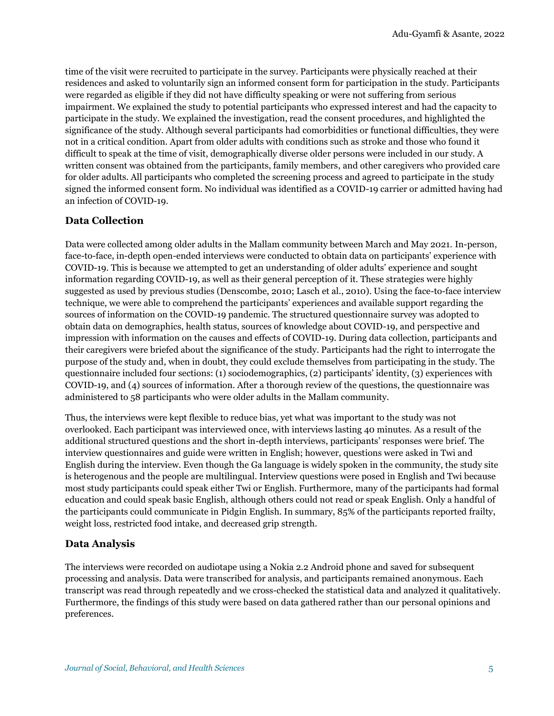time of the visit were recruited to participate in the survey. Participants were physically reached at their residences and asked to voluntarily sign an informed consent form for participation in the study. Participants were regarded as eligible if they did not have difficulty speaking or were not suffering from serious impairment. We explained the study to potential participants who expressed interest and had the capacity to participate in the study. We explained the investigation, read the consent procedures, and highlighted the significance of the study. Although several participants had comorbidities or functional difficulties, they were not in a critical condition. Apart from older adults with conditions such as stroke and those who found it difficult to speak at the time of visit, demographically diverse older persons were included in our study. A written consent was obtained from the participants, family members, and other caregivers who provided care for older adults. All participants who completed the screening process and agreed to participate in the study signed the informed consent form. No individual was identified as a COVID-19 carrier or admitted having had an infection of COVID-19.

### **Data Collection**

Data were collected among older adults in the Mallam community between March and May 2021. In-person, face-to-face, in-depth open-ended interviews were conducted to obtain data on participants' experience with COVID-19. This is because we attempted to get an understanding of older adults' experience and sought information regarding COVID-19, as well as their general perception of it. These strategies were highly suggested as used by previous studies (Denscombe, 2010; Lasch et al., 2010). Using the face-to-face interview technique, we were able to comprehend the participants' experiences and available support regarding the sources of information on the COVID-19 pandemic. The structured questionnaire survey was adopted to obtain data on demographics, health status, sources of knowledge about COVID-19, and perspective and impression with information on the causes and effects of COVID-19. During data collection, participants and their caregivers were briefed about the significance of the study. Participants had the right to interrogate the purpose of the study and, when in doubt, they could exclude themselves from participating in the study. The questionnaire included four sections: (1) sociodemographics, (2) participants' identity, (3) experiences with COVID-19, and (4) sources of information. After a thorough review of the questions, the questionnaire was administered to 58 participants who were older adults in the Mallam community.

Thus, the interviews were kept flexible to reduce bias, yet what was important to the study was not overlooked. Each participant was interviewed once, with interviews lasting 40 minutes. As a result of the additional structured questions and the short in-depth interviews, participants' responses were brief. The interview questionnaires and guide were written in English; however, questions were asked in Twi and English during the interview. Even though the Ga language is widely spoken in the community, the study site is heterogenous and the people are multilingual. Interview questions were posed in English and Twi because most study participants could speak either Twi or English. Furthermore, many of the participants had formal education and could speak basic English, although others could not read or speak English. Only a handful of the participants could communicate in Pidgin English. In summary, 85% of the participants reported frailty, weight loss, restricted food intake, and decreased grip strength.

### **Data Analysis**

The interviews were recorded on audiotape using a Nokia 2.2 Android phone and saved for subsequent processing and analysis. Data were transcribed for analysis, and participants remained anonymous. Each transcript was read through repeatedly and we cross-checked the statistical data and analyzed it qualitatively. Furthermore, the findings of this study were based on data gathered rather than our personal opinions and preferences.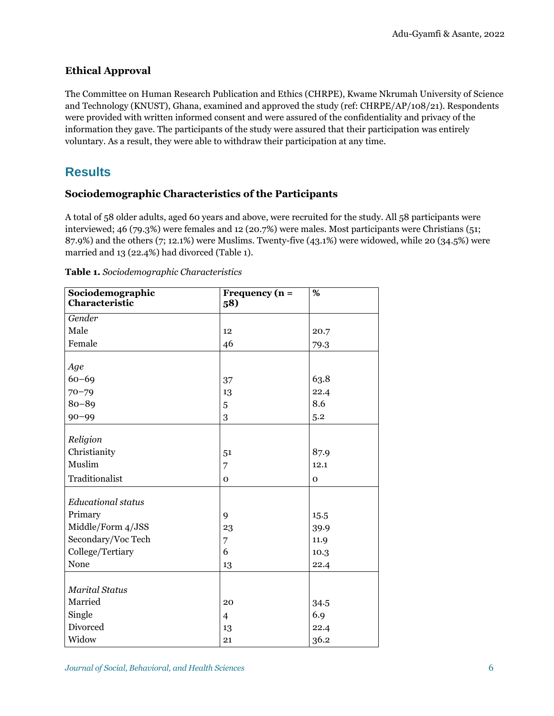## **Ethical Approval**

The Committee on Human Research Publication and Ethics (CHRPE), Kwame Nkrumah University of Science and Technology (KNUST), Ghana, examined and approved the study (ref: CHRPE/AP/108/21). Respondents were provided with written informed consent and were assured of the confidentiality and privacy of the information they gave. The participants of the study were assured that their participation was entirely voluntary. As a result, they were able to withdraw their participation at any time.

# **Results**

### **Sociodemographic Characteristics of the Participants**

A total of 58 older adults, aged 60 years and above, were recruited for the study. All 58 participants were interviewed; 46 (79.3%) were females and 12 (20.7%) were males. Most participants were Christians (51; 87.9%) and the others (7; 12.1%) were Muslims. Twenty-five (43.1%) were widowed, while 20 (34.5%) were married and 13 (22.4%) had divorced (Table 1).

| Sociodemographic<br>Characteristic | Frequency $(n =$<br>58) | %        |
|------------------------------------|-------------------------|----------|
|                                    |                         |          |
| Gender                             |                         |          |
| Male                               | 12                      | 20.7     |
| Female                             | 46                      | 79.3     |
| Age                                |                         |          |
| $60 - 69$                          | 37                      | 63.8     |
| $70 - 79$                          | 13                      | 22.4     |
| $80 - 89$                          | 5                       | 8.6      |
| $90 - 99$                          | 3                       | 5.2      |
| Religion                           |                         |          |
| Christianity                       |                         | 87.9     |
| Muslim                             | 51                      |          |
|                                    | 7                       | 12.1     |
| Traditionalist                     | $\Omega$                | $\Omega$ |
| <b>Educational status</b>          |                         |          |
| Primary                            | 9                       | 15.5     |
| Middle/Form 4/JSS                  | 23                      | 39.9     |
| Secondary/Voc Tech                 | 7                       | 11.9     |
| College/Tertiary                   | 6                       | 10.3     |
| None                               | 13                      | 22.4     |
|                                    |                         |          |
| <b>Marital Status</b>              |                         |          |
| Married                            | 20                      | 34.5     |
| Single                             | $\overline{4}$          | 6.9      |
| Divorced                           | 13                      | 22.4     |
| Widow                              | 21                      | 36.2     |

| Table 1. Sociodemographic Characteristics |  |  |
|-------------------------------------------|--|--|
|                                           |  |  |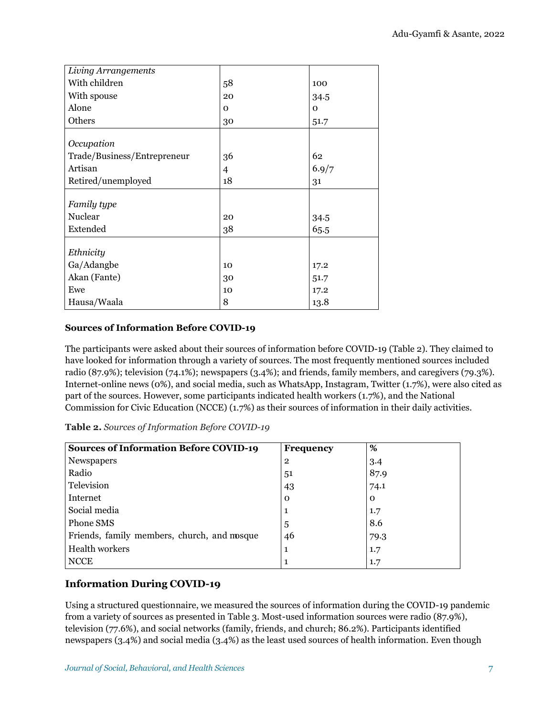| Living Arrangements         |              |          |
|-----------------------------|--------------|----------|
| With children               | 58           | 100      |
| With spouse                 | 20           | 34.5     |
| Alone                       | $\mathbf{O}$ | $\Omega$ |
| Others                      | 30           | 51.7     |
|                             |              |          |
| Occupation                  |              |          |
| Trade/Business/Entrepreneur | 36           | 62       |
| Artisan                     | 4            | 6.9/7    |
| Retired/unemployed          | 18           | 31       |
|                             |              |          |
| Family type                 |              |          |
| Nuclear                     | 20           | 34.5     |
| Extended                    | 38           | 65.5     |
|                             |              |          |
| Ethnicity                   |              |          |
| Ga/Adangbe                  | 10           | 17.2     |
| Akan (Fante)                | 30           | 51.7     |
| Ewe                         | 10           | 17.2     |
| Hausa/Waala                 | 8            | 13.8     |

### **Sources of Information Before COVID-19**

The participants were asked about their sources of information before COVID-19 (Table 2). They claimed to have looked for information through a variety of sources. The most frequently mentioned sources included radio (87.9%); television (74.1%); newspapers (3.4%); and friends, family members, and caregivers (79.3%). Internet-online news (0%), and social media, such as WhatsApp, Instagram, Twitter (1.7%), were also cited as part of the sources. However, some participants indicated health workers (1.7%), and the National Commission for Civic Education (NCCE) (1.7%) as their sources of information in their daily activities.

| Table 2. Sources of Information Before COVID-19 |  |  |  |
|-------------------------------------------------|--|--|--|
|-------------------------------------------------|--|--|--|

| <b>Sources of Information Before COVID-19</b> | <b>Frequency</b> | %        |
|-----------------------------------------------|------------------|----------|
| Newspapers                                    | $\overline{2}$   | 3.4      |
| Radio                                         | 51               | 87.9     |
| Television                                    | 43               | 74.1     |
| Internet                                      | $\mathbf 0$      | $\Omega$ |
| Social media                                  | 1                | 1.7      |
| Phone SMS                                     | 5                | 8.6      |
| Friends, family members, church, and mosque   | 46               | 79.3     |
| <b>Health workers</b>                         | 1                | 1.7      |
| <b>NCCE</b>                                   | 1                | 1.7      |

### **Information During COVID-19**

Using a structured questionnaire, we measured the sources of information during the COVID-19 pandemic from a variety of sources as presented in Table 3. Most-used information sources were radio (87.9%), television (77.6%), and social networks (family, friends, and church; 86.2%). Participants identified newspapers (3.4%) and social media (3.4%) as the least used sources of health information. Even though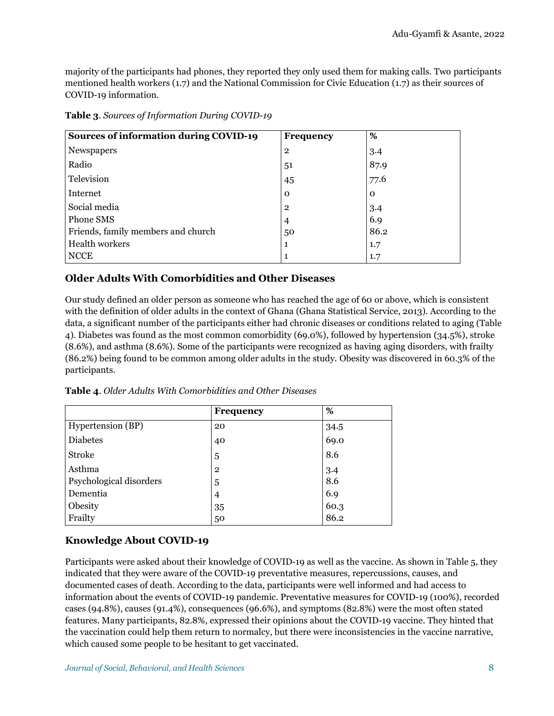majority of the participants had phones, they reported they only used them for making calls. Two participants mentioned health workers (1.7) and the National Commission for Civic Education (1.7) as their sources of COVID-19 information.

| <b>Sources of information during COVID-19</b> | <b>Frequency</b> | %        |
|-----------------------------------------------|------------------|----------|
| Newspapers                                    | $\overline{2}$   | 3.4      |
| Radio                                         | 51               | 87.9     |
| Television                                    | 45               | 77.6     |
| Internet                                      | $\mathbf 0$      | $\Omega$ |
| Social media                                  | $\overline{2}$   | 3.4      |
| Phone SMS                                     | $\overline{4}$   | 6.9      |
| Friends, family members and church            | 50               | 86.2     |
| <b>Health workers</b>                         | 1                | 1.7      |
| <b>NCCE</b>                                   |                  | 1.7      |

**Table 3**. *Sources of Information During COVID-19*

### **Older Adults With Comorbidities and Other Diseases**

Our study defined an older person as someone who has reached the age of 60 or above, which is consistent with the definition of older adults in the context of Ghana (Ghana Statistical Service, 2013). According to the data, a significant number of the participants either had chronic diseases or conditions related to aging (Table 4). Diabetes was found as the most common comorbidity (69.0%), followed by hypertension (34.5%), stroke (8.6%), and asthma (8.6%). Some of the participants were recognized as having aging disorders, with frailty (86.2%) being found to be common among older adults in the study. Obesity was discovered in 60.3% of the participants.

**Table 4**. *Older Adults With Comorbidities and Other Diseases*

|                         | <b>Frequency</b> | %    |
|-------------------------|------------------|------|
| Hypertension (BP)       | 20               | 34.5 |
| <b>Diabetes</b>         | 40               | 69.0 |
| <b>Stroke</b>           | 5                | 8.6  |
| Asthma                  | $\overline{2}$   | 3.4  |
| Psychological disorders | 5                | 8.6  |
| Dementia                | 4                | 6.9  |
| Obesity                 | 35               | 60.3 |
| Frailty                 | 50               | 86.2 |

### **Knowledge About COVID-19**

Participants were asked about their knowledge of COVID-19 as well as the vaccine. As shown in Table 5, they indicated that they were aware of the COVID-19 preventative measures, repercussions, causes, and documented cases of death. According to the data, participants were well informed and had access to information about the events of COVID-19 pandemic. Preventative measures for COVID-19 (100%), recorded cases (94.8%), causes (91.4%), consequences (96.6%), and symptoms (82.8%) were the most often stated features. Many participants, 82.8%, expressed their opinions about the COVID-19 vaccine. They hinted that the vaccination could help them return to normalcy, but there were inconsistencies in the vaccine narrative, which caused some people to be hesitant to get vaccinated.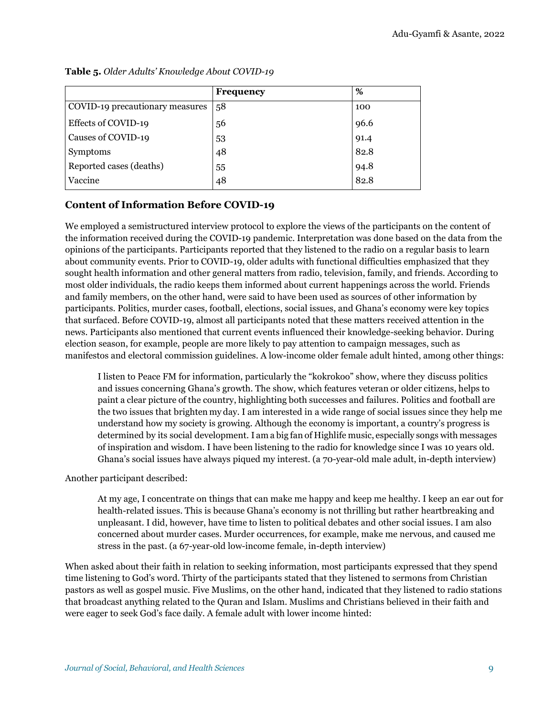|                                 | Frequency | %    |
|---------------------------------|-----------|------|
| COVID-19 precautionary measures | 58        | 100  |
| Effects of COVID-19             | 56        | 96.6 |
| Causes of COVID-19              | 53        | 91.4 |
| Symptoms                        | 48        | 82.8 |
| Reported cases (deaths)         | 55        | 94.8 |
| Vaccine                         | 48        | 82.8 |

**Table 5.** *Older Adults' Knowledge About COVID-19*

### **Content of Information Before COVID-19**

We employed a semistructured interview protocol to explore the views of the participants on the content of the information received during the COVID-19 pandemic. Interpretation was done based on the data from the opinions of the participants. Participants reported that they listened to the radio on a regular basis to learn about community events. Prior to COVID-19, older adults with functional difficulties emphasized that they sought health information and other general matters from radio, television, family, and friends. According to most older individuals, the radio keeps them informed about current happenings across the world. Friends and family members, on the other hand, were said to have been used as sources of other information by participants. Politics, murder cases, football, elections, social issues, and Ghana's economy were key topics that surfaced. Before COVID-19, almost all participants noted that these matters received attention in the news. Participants also mentioned that current events influenced their knowledge-seeking behavior. During election season, for example, people are more likely to pay attention to campaign messages, such as manifestos and electoral commission guidelines. A low-income older female adult hinted, among other things:

I listen to Peace FM for information, particularly the "kokrokoo" show, where they discuss politics and issues concerning Ghana's growth. The show, which features veteran or older citizens, helps to paint a clear picture of the country, highlighting both successes and failures. Politics and football are the two issues that brighten my day. I am interested in a wide range of social issues since they help me understand how my society is growing. Although the economy is important, a country's progress is determined by its social development. I am a big fan of Highlife music, especially songs with messages of inspiration and wisdom. I have been listening to the radio for knowledge since I was 10 years old. Ghana's social issues have always piqued my interest. (a 70-year-old male adult, in-depth interview)

Another participant described:

At my age, I concentrate on things that can make me happy and keep me healthy. I keep an ear out for health-related issues. This is because Ghana's economy is not thrilling but rather heartbreaking and unpleasant. I did, however, have time to listen to political debates and other social issues. I am also concerned about murder cases. Murder occurrences, for example, make me nervous, and caused me stress in the past. (a 67-year-old low-income female, in-depth interview)

When asked about their faith in relation to seeking information, most participants expressed that they spend time listening to God's word. Thirty of the participants stated that they listened to sermons from Christian pastors as well as gospel music. Five Muslims, on the other hand, indicated that they listened to radio stations that broadcast anything related to the Quran and Islam. Muslims and Christians believed in their faith and were eager to seek God's face daily. A female adult with lower income hinted: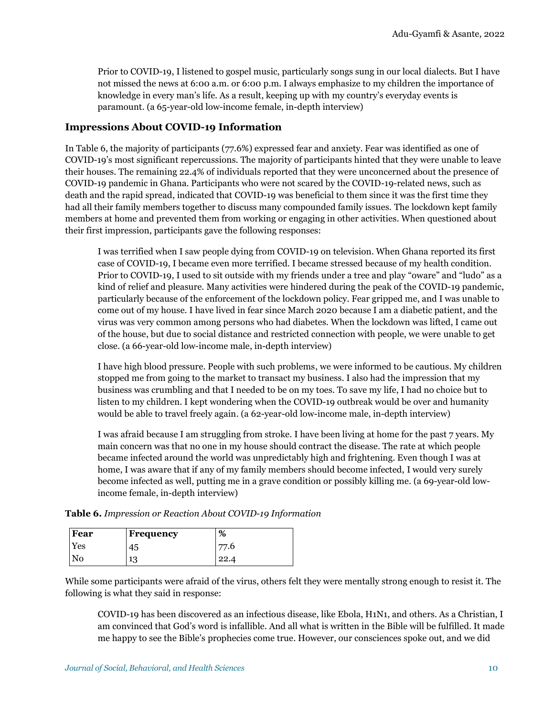Prior to COVID-19, I listened to gospel music, particularly songs sung in our local dialects. But I have not missed the news at 6:00 a.m. or 6:00 p.m. I always emphasize to my children the importance of knowledge in every man's life. As a result, keeping up with my country's everyday events is paramount. (a 65-year-old low-income female, in-depth interview)

### **Impressions About COVID-19 Information**

In Table 6, the majority of participants (77.6%) expressed fear and anxiety. Fear was identified as one of COVID-19's most significant repercussions. The majority of participants hinted that they were unable to leave their houses. The remaining 22.4% of individuals reported that they were unconcerned about the presence of COVID-19 pandemic in Ghana. Participants who were not scared by the COVID-19-related news, such as death and the rapid spread, indicated that COVID-19 was beneficial to them since it was the first time they had all their family members together to discuss many compounded family issues. The lockdown kept family members at home and prevented them from working or engaging in other activities. When questioned about their first impression, participants gave the following responses:

I was terrified when I saw people dying from COVID-19 on television. When Ghana reported its first case of COVID-19, I became even more terrified. I became stressed because of my health condition. Prior to COVID-19, I used to sit outside with my friends under a tree and play "oware" and "ludo" as a kind of relief and pleasure. Many activities were hindered during the peak of the COVID-19 pandemic, particularly because of the enforcement of the lockdown policy. Fear gripped me, and I was unable to come out of my house. I have lived in fear since March 2020 because I am a diabetic patient, and the virus was very common among persons who had diabetes. When the lockdown was lifted, I came out of the house, but due to social distance and restricted connection with people, we were unable to get close. (a 66-year-old low-income male, in-depth interview)

I have high blood pressure. People with such problems, we were informed to be cautious. My children stopped me from going to the market to transact my business. I also had the impression that my business was crumbling and that I needed to be on my toes. To save my life, I had no choice but to listen to my children. I kept wondering when the COVID-19 outbreak would be over and humanity would be able to travel freely again. (a 62-year-old low-income male, in-depth interview)

I was afraid because I am struggling from stroke. I have been living at home for the past 7 years. My main concern was that no one in my house should contract the disease. The rate at which people became infected around the world was unpredictably high and frightening. Even though I was at home, I was aware that if any of my family members should become infected, I would very surely become infected as well, putting me in a grave condition or possibly killing me. (a 69-year-old lowincome female, in-depth interview)

| Fear | Frequency | %    |
|------|-----------|------|
| Yes  | 45        | 77.6 |
| No   | 13        | 22.4 |

**Table 6.** *Impression or Reaction About COVID-19 Information*

While some participants were afraid of the virus, others felt they were mentally strong enough to resist it. The following is what they said in response:

COVID-19 has been discovered as an infectious disease, like Ebola, H1N1, and others. As a Christian, I am convinced that God's word is infallible. And all what is written in the Bible will be fulfilled. It made me happy to see the Bible's prophecies come true. However, our consciences spoke out, and we did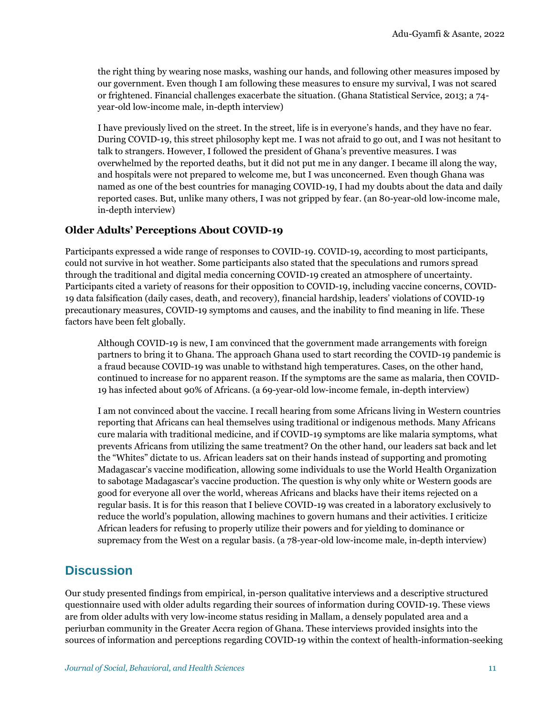the right thing by wearing nose masks, washing our hands, and following other measures imposed by our government. Even though I am following these measures to ensure my survival, I was not scared or frightened. Financial challenges exacerbate the situation. (Ghana Statistical Service, 2013; a 74 year-old low-income male, in-depth interview)

I have previously lived on the street. In the street, life is in everyone's hands, and they have no fear. During COVID-19, this street philosophy kept me. I was not afraid to go out, and I was not hesitant to talk to strangers. However, I followed the president of Ghana's preventive measures. I was overwhelmed by the reported deaths, but it did not put me in any danger. I became ill along the way, and hospitals were not prepared to welcome me, but I was unconcerned. Even though Ghana was named as one of the best countries for managing COVID-19, I had my doubts about the data and daily reported cases. But, unlike many others, I was not gripped by fear. (an 80-year-old low-income male, in-depth interview)

### **Older Adults' Perceptions About COVID-19**

Participants expressed a wide range of responses to COVID-19. COVID-19, according to most participants, could not survive in hot weather. Some participants also stated that the speculations and rumors spread through the traditional and digital media concerning COVID-19 created an atmosphere of uncertainty. Participants cited a variety of reasons for their opposition to COVID-19, including vaccine concerns, COVID-19 data falsification (daily cases, death, and recovery), financial hardship, leaders' violations of COVID-19 precautionary measures, COVID-19 symptoms and causes, and the inability to find meaning in life. These factors have been felt globally.

Although COVID-19 is new, I am convinced that the government made arrangements with foreign partners to bring it to Ghana. The approach Ghana used to start recording the COVID-19 pandemic is a fraud because COVID-19 was unable to withstand high temperatures. Cases, on the other hand, continued to increase for no apparent reason. If the symptoms are the same as malaria, then COVID-19 has infected about 90% of Africans. (a 69-year-old low-income female, in-depth interview)

I am not convinced about the vaccine. I recall hearing from some Africans living in Western countries reporting that Africans can heal themselves using traditional or indigenous methods. Many Africans cure malaria with traditional medicine, and if COVID-19 symptoms are like malaria symptoms, what prevents Africans from utilizing the same treatment? On the other hand, our leaders sat back and let the "Whites" dictate to us. African leaders sat on their hands instead of supporting and promoting Madagascar's vaccine modification, allowing some individuals to use the World Health Organization to sabotage Madagascar's vaccine production. The question is why only white or Western goods are good for everyone all over the world, whereas Africans and blacks have their items rejected on a regular basis. It is for this reason that I believe COVID-19 was created in a laboratory exclusively to reduce the world's population, allowing machines to govern humans and their activities. I criticize African leaders for refusing to properly utilize their powers and for yielding to dominance or supremacy from the West on a regular basis. (a 78-year-old low-income male, in-depth interview)

# **Discussion**

Our study presented findings from empirical, in-person qualitative interviews and a descriptive structured questionnaire used with older adults regarding their sources of information during COVID-19. These views are from older adults with very low-income status residing in Mallam, a densely populated area and a periurban community in the Greater Accra region of Ghana. These interviews provided insights into the sources of information and perceptions regarding COVID-19 within the context of health-information-seeking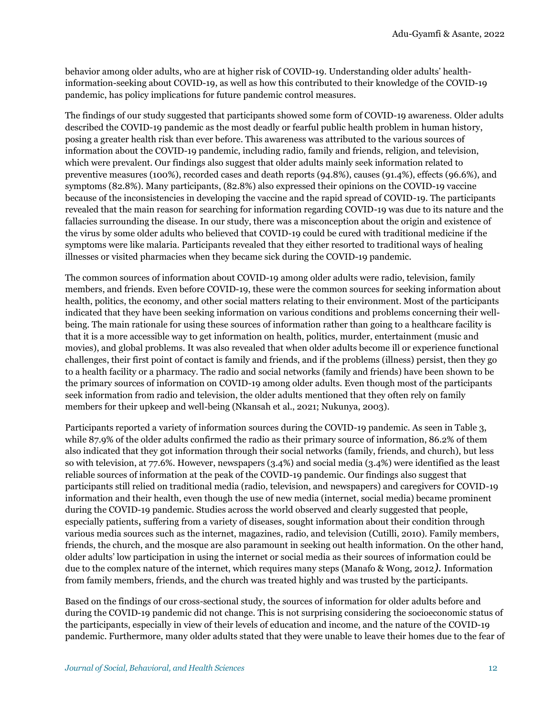behavior among older adults, who are at higher risk of COVID-19. Understanding older adults' healthinformation-seeking about COVID-19, as well as how this contributed to their knowledge of the COVID-19 pandemic, has policy implications for future pandemic control measures.

The findings of our study suggested that participants showed some form of COVID-19 awareness. Older adults described the COVID-19 pandemic as the most deadly or fearful public health problem in human history, posing a greater health risk than ever before. This awareness was attributed to the various sources of information about the COVID-19 pandemic, including radio, family and friends, religion, and television, which were prevalent. Our findings also suggest that older adults mainly seek information related to preventive measures (100%), recorded cases and death reports (94.8%), causes (91.4%), effects (96.6%), and symptoms (82.8%). Many participants, (82.8%) also expressed their opinions on the COVID-19 vaccine because of the inconsistencies in developing the vaccine and the rapid spread of COVID-19. The participants revealed that the main reason for searching for information regarding COVID-19 was due to its nature and the fallacies surrounding the disease. In our study, there was a misconception about the origin and existence of the virus by some older adults who believed that COVID-19 could be cured with traditional medicine if the symptoms were like malaria. Participants revealed that they either resorted to traditional ways of healing illnesses or visited pharmacies when they became sick during the COVID-19 pandemic.

The common sources of information about COVID-19 among older adults were radio, television, family members, and friends. Even before COVID-19, these were the common sources for seeking information about health, politics, the economy, and other social matters relating to their environment. Most of the participants indicated that they have been seeking information on various conditions and problems concerning their wellbeing. The main rationale for using these sources of information rather than going to a healthcare facility is that it is a more accessible way to get information on health, politics, murder, entertainment (music and movies), and global problems. It was also revealed that when older adults become ill or experience functional challenges, their first point of contact is family and friends, and if the problems (illness) persist, then they go to a health facility or a pharmacy. The radio and social networks (family and friends) have been shown to be the primary sources of information on COVID-19 among older adults. Even though most of the participants seek information from radio and television, the older adults mentioned that they often rely on family members for their upkeep and well-being (Nkansah et al., 2021; Nukunya, 2003).

Participants reported a variety of information sources during the COVID-19 pandemic. As seen in Table 3, while 87.9% of the older adults confirmed the radio as their primary source of information, 86.2% of them also indicated that they got information through their social networks (family, friends, and church), but less so with television, at 77.6%. However, newspapers (3.4%) and social media (3.4%) were identified as the least reliable sources of information at the peak of the COVID-19 pandemic. Our findings also suggest that participants still relied on traditional media (radio, television, and newspapers) and caregivers for COVID-19 information and their health, even though the use of new media (internet, social media) became prominent during the COVID-19 pandemic. Studies across the world observed and clearly suggested that people, especially patients, suffering from a variety of diseases, sought information about their condition through various media sources such as the internet, magazines, radio, and television (Cutilli, 2010). Family members, friends, the church, and the mosque are also paramount in seeking out health information. On the other hand, older adults' low participation in using the internet or social media as their sources of information could be due to the complex nature of the internet, which requires many steps (Manafo & Wong, 2012*).* Information from family members, friends, and the church was treated highly and was trusted by the participants.

Based on the findings of our cross-sectional study, the sources of information for older adults before and during the COVID-19 pandemic did not change. This is not surprising considering the socioeconomic status of the participants, especially in view of their levels of education and income, and the nature of the COVID-19 pandemic. Furthermore, many older adults stated that they were unable to leave their homes due to the fear of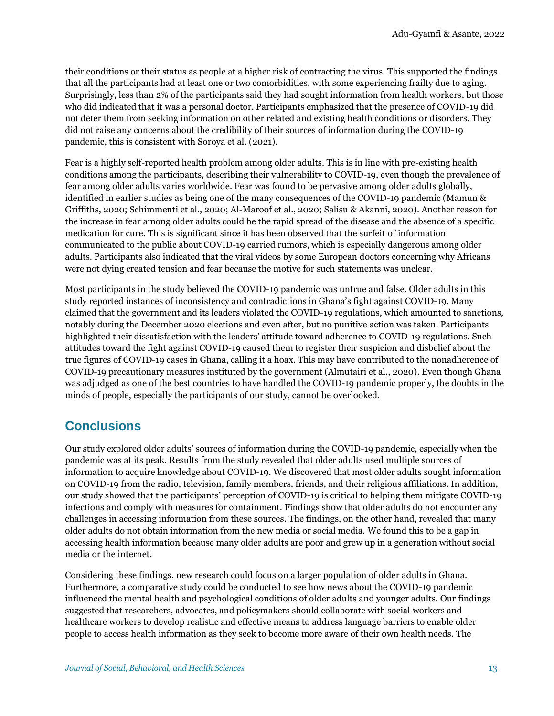their conditions or their status as people at a higher risk of contracting the virus. This supported the findings that all the participants had at least one or two comorbidities, with some experiencing frailty due to aging. Surprisingly, less than 2% of the participants said they had sought information from health workers, but those who did indicated that it was a personal doctor. Participants emphasized that the presence of COVID-19 did not deter them from seeking information on other related and existing health conditions or disorders. They did not raise any concerns about the credibility of their sources of information during the COVID-19 pandemic, this is consistent with Soroya et al. (2021).

Fear is a highly self-reported health problem among older adults. This is in line with pre-existing health conditions among the participants, describing their vulnerability to COVID-19, even though the prevalence of fear among older adults varies worldwide. Fear was found to be pervasive among older adults globally, identified in earlier studies as being one of the many consequences of the COVID-19 pandemic (Mamun & Griffiths, 2020; Schimmenti et al., 2020; Al-Maroof et al., 2020; Salisu & Akanni, 2020). Another reason for the increase in fear among older adults could be the rapid spread of the disease and the absence of a specific medication for cure. This is significant since it has been observed that the surfeit of information communicated to the public about COVID-19 carried rumors, which is especially dangerous among older adults. Participants also indicated that the viral videos by some European doctors concerning why Africans were not dying created tension and fear because the motive for such statements was unclear.

Most participants in the study believed the COVID-19 pandemic was untrue and false. Older adults in this study reported instances of inconsistency and contradictions in Ghana's fight against COVID-19. Many claimed that the government and its leaders violated the COVID-19 regulations, which amounted to sanctions, notably during the December 2020 elections and even after, but no punitive action was taken. Participants highlighted their dissatisfaction with the leaders' attitude toward adherence to COVID-19 regulations. Such attitudes toward the fight against COVID-19 caused them to register their suspicion and disbelief about the true figures of COVID-19 cases in Ghana, calling it a hoax. This may have contributed to the nonadherence of COVID-19 precautionary measures instituted by the government (Almutairi et al., 2020). Even though Ghana was adjudged as one of the best countries to have handled the COVID-19 pandemic properly, the doubts in the minds of people, especially the participants of our study, cannot be overlooked.

# **Conclusions**

Our study explored older adults' sources of information during the COVID-19 pandemic, especially when the pandemic was at its peak. Results from the study revealed that older adults used multiple sources of information to acquire knowledge about COVID-19. We discovered that most older adults sought information on COVID-19 from the radio, television, family members, friends, and their religious affiliations. In addition, our study showed that the participants' perception of COVID-19 is critical to helping them mitigate COVID-19 infections and comply with measures for containment. Findings show that older adults do not encounter any challenges in accessing information from these sources. The findings, on the other hand, revealed that many older adults do not obtain information from the new media or social media. We found this to be a gap in accessing health information because many older adults are poor and grew up in a generation without social media or the internet.

Considering these findings, new research could focus on a larger population of older adults in Ghana. Furthermore, a comparative study could be conducted to see how news about the COVID-19 pandemic influenced the mental health and psychological conditions of older adults and younger adults. Our findings suggested that researchers, advocates, and policymakers should collaborate with social workers and healthcare workers to develop realistic and effective means to address language barriers to enable older people to access health information as they seek to become more aware of their own health needs. The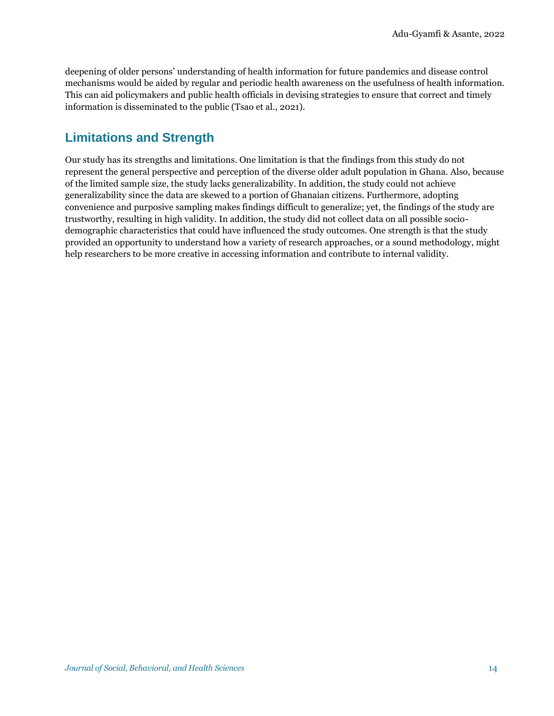deepening of older persons' understanding of health information for future pandemics and disease control mechanisms would be aided by regular and periodic health awareness on the usefulness of health information. This can aid policymakers and public health officials in devising strategies to ensure that correct and timely information is disseminated to the public (Tsao et al., 2021).

# **Limitations and Strength**

Our study has its strengths and limitations. One limitation is that the findings from this study do not represent the general perspective and perception of the diverse older adult population in Ghana. Also, because of the limited sample size, the study lacks generalizability. In addition, the study could not achieve generalizability since the data are skewed to a portion of Ghanaian citizens. Furthermore, adopting convenience and purposive sampling makes findings difficult to generalize; yet, the findings of the study are trustworthy, resulting in high validity. In addition, the study did not collect data on all possible sociodemographic characteristics that could have influenced the study outcomes. One strength is that the study provided an opportunity to understand how a variety of research approaches, or a sound methodology, might help researchers to be more creative in accessing information and contribute to internal validity.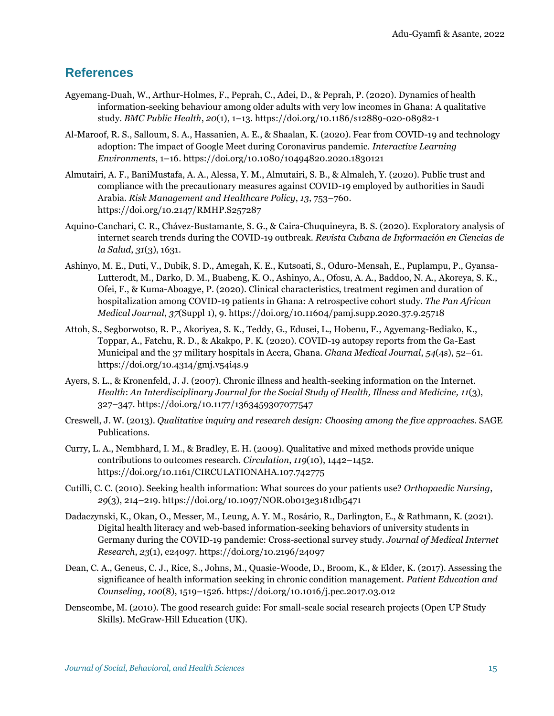## **References**

- Agyemang-Duah, W., Arthur-Holmes, F., Peprah, C., Adei, D., & Peprah, P. (2020). Dynamics of health information-seeking behaviour among older adults with very low incomes in Ghana: A qualitative study. *BMC Public Health*, *20*(1), 1–13.<https://doi.org/10.1186/s12889-020-08982-1>
- Al-Maroof, R. S., Salloum, S. A., Hassanien, A. E., & Shaalan, K. (2020). Fear from COVID-19 and technology adoption: The impact of Google Meet during Coronavirus pandemic. *Interactive Learning Environments*, 1–16.<https://doi.org/10.1080/10494820.2020.1830121>
- Almutairi, A. F., BaniMustafa, A. A., Alessa, Y. M., Almutairi, S. B., & Almaleh, Y. (2020). Public trust and compliance with the precautionary measures against COVID-19 employed by authorities in Saudi Arabia. *Risk Management and Healthcare Policy*, *13*, 753–760. <https://doi.org/10.2147/RMHP.S257287>
- Aquino-Canchari, C. R., Chávez-Bustamante, S. G., & Caira-Chuquineyra, B. S. (2020). Exploratory analysis of internet search trends during the COVID-19 outbreak. *Revista Cubana de Información en Ciencias de la Salud*, *31*(3), 1631.
- Ashinyo, M. E., Duti, V., Dubik, S. D., Amegah, K. E., Kutsoati, S., Oduro-Mensah, E., Puplampu, P., Gyansa-Lutterodt, M., Darko, D. M., Buabeng, K. O., Ashinyo, A., Ofosu, A. A., Baddoo, N. A., Akoreya, S. K., Ofei, F., & Kuma-Aboagye, P. (2020). Clinical characteristics, treatment regimen and duration of hospitalization among COVID-19 patients in Ghana: A retrospective cohort study. *The Pan African Medical Journal*, *37*(Suppl 1), 9.<https://doi.org/10.11604/pamj.supp.2020.37.9.25718>
- Attoh, S., Segborwotso, R. P., Akoriyea, S. K., Teddy, G., Edusei, L., Hobenu, F., [Agyemang-Bediako,](https://pubmed.ncbi.nlm.nih.gov/?term=Agyemang-Bediako+K&cauthor_id=33976442) K., Toppar, A., Fatchu, R. D., & Akakpo, P. K. (2020). COVID-19 autopsy reports from the Ga-East Municipal and the 37 military hospitals in Accra, Ghana. *Ghana Medical Journal*, *54*(4s), 52–61. <https://doi.org/10.4314/gmj.v54i4s.9>
- Ayers, S. L., & Kronenfeld, J. J. (2007). Chronic illness and health-seeking information on the Internet. *Health*: *An Interdisciplinary Journal for the Social Study of Health, Illness and Medicine, 11*(3), 327–347.<https://doi.org/10.1177/1363459307077547>
- Creswell, J. W. (2013). *Qualitative inquiry and research design: Choosing among the five approaches*. SAGE Publications.
- Curry, L. A., Nembhard, I. M., & Bradley, E. H. (2009). Qualitative and mixed methods provide unique contributions to outcomes research. *Circulation*, *119*(10), 1442–1452. <https://doi.org/10.1161/CIRCULATIONAHA.107.742775>
- Cutilli, C. C. (2010). Seeking health information: What sources do your patients use? *Orthopaedic Nursing*, *29*(3), 214–219.<https://doi.org/10.1097/NOR.0b013e3181db5471>
- Dadaczynski, K., Okan, O., Messer, M., Leung, A. Y. M., Rosário, R., Darlington, E., & Rathmann, K. (2021). Digital health literacy and web-based information-seeking behaviors of university students in Germany during the COVID-19 pandemic: Cross-sectional survey study. *Journal of Medical Internet Research*, *23*(1), e24097.<https://doi.org/10.2196/24097>
- Dean, C. A., Geneus, C. J., Rice, S., Johns, M., Quasie-Woode, D., Broom, K., & Elder, K. (2017). Assessing the significance of health information seeking in chronic condition management. *Patient Education and Counseling*, *100*(8), 1519–1526.<https://doi.org/10.1016/j.pec.2017.03.012>
- Denscombe, M. (2010). The good research guide: For small-scale social research projects (Open UP Study Skills). McGraw-Hill Education (UK).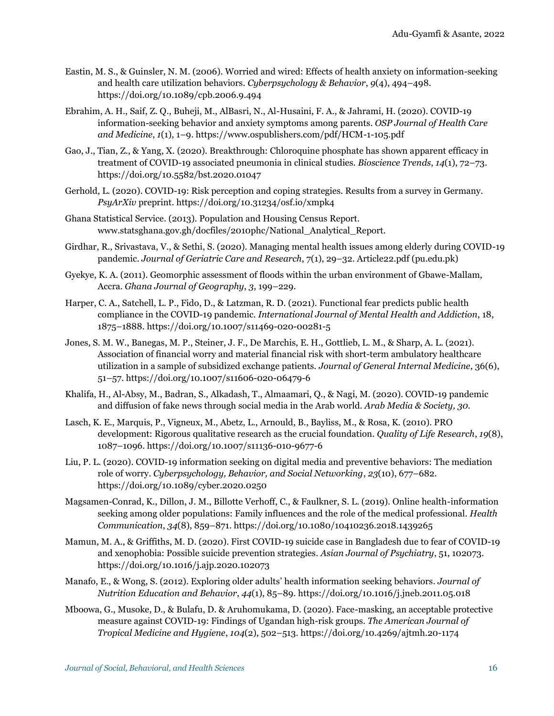- Eastin, M. S., & Guinsler, N. M. (2006). Worried and wired: Effects of health anxiety on information-seeking and health care utilization behaviors. *Cyberpsychology & Behavior*, *9*(4), 494–498. <https://doi.org/10.1089/cpb.2006.9.494>
- Ebrahim, A. H., Saif, Z. Q., Buheji, M., AlBasri, N., Al-Husaini, F. A., & Jahrami, H. (2020). COVID-19 information-seeking behavior and anxiety symptoms among parents. *OSP Journal of Health Care and Medicine*, *1*(1), 1–9[. https://www.ospublishers.com/pdf/HCM-1-105.pdf](https://www.ospublishers.com/pdf/HCM-1-105.pdf)
- Gao, J., Tian, Z., & Yang, X. (2020). Breakthrough: Chloroquine phosphate has shown apparent efficacy in treatment of COVID-19 associated pneumonia in clinical studies. *Bioscience Trends*, *14*(1), 72–73. <https://doi.org/10.5582/bst.2020.01047>
- Gerhold, L. (2020). COVID-19: Risk perception and coping strategies. Results from a survey in Germany. *PsyArXiv* preprint.<https://doi.org/10.31234/osf.io/xmpk4>
- Ghana Statistical Service. (2013). Population and Housing Census Report. www.statsghana.gov.gh/docfiles/2010phc/National\_Analytical\_Report.
- Girdhar, R., Srivastava, V., & Sethi, S. (2020). Managing mental health issues among elderly during COVID-19 pandemic. *Journal of Geriatric Care and Research*, 7(1), 29–32[. Article22.pdf \(pu.edu.pk\)](http://pu.edu.pk/MHH-COVID-19/Articles/Article22.pdf)
- Gyekye, K. A. (2011). Geomorphic assessment of floods within the urban environment of Gbawe-Mallam, Accra. *Ghana Journal of Geography*, *3*, 199–229.
- Harper, C. A., Satchell, L. P., Fido, D., & Latzman, R. D. (2021). Functional fear predicts public health compliance in the COVID-19 pandemic. *International Journal of Mental Health and Addiction*, 18, 1875–1888[. https://doi.org/10.1007/s11469-020-00281-5](https://doi.org/10.1007/s11469-020-00281-5)
- Jones, S. M. W., Banegas, M. P., Steiner, J. F., De Marchis, E. H., Gottlieb, L. M., & Sharp, A. L. (2021). Association of financial worry and material financial risk with short-term ambulatory healthcare utilization in a sample of subsidized exchange patients. *Journal of General Internal Medicine*, 36(6), 51–57.<https://doi.org/10.1007/s11606-020-06479-6>
- Khalifa, H., Al-Absy, M., Badran, S., Alkadash, T., Almaamari, Q., & Nagi, M. (2020). COVID-19 pandemic and diffusion of fake news through social media in the Arab world. *Arab Media & Society, 30.*
- Lasch, K. E., Marquis, P., Vigneux, M., Abetz, L., Arnould, B., Bayliss, M., & Rosa, K. (2010). PRO development: Rigorous qualitative research as the crucial foundation. *Quality of Life Research*, *19*(8), 1087–1096[. https://doi.org/10.1007/s11136-010-9677-6](https://doi.org/10.1007/s11136-010-9677-6)
- Liu, P. L. (2020). COVID-19 information seeking on digital media and preventive behaviors: The mediation role of worry. *Cyberpsychology, Behavior, and Social Networking*, *23*(10), 677–682. <https://doi.org/10.1089/cyber.2020.0250>
- Magsamen-Conrad, K., Dillon, J. M., Billotte Verhoff, C., & Faulkner, S. L. (2019). Online health-information seeking among older populations: Family influences and the role of the medical professional. *Health Communication*, *34*(8), 859–871[. https://doi.org/10.1080/10410236.2018.1439265](https://doi.org/10.1080/10410236.2018.1439265)
- Mamun, M. A., & Griffiths, M. D. (2020). First COVID-19 suicide case in Bangladesh due to fear of COVID-19 and xenophobia: Possible suicide prevention strategies. *Asian Journal of Psychiatry*, 51, 102073. <https://doi.org/10.1016/j.ajp.2020.102073>
- Manafo, E., & Wong, S. (2012). Exploring older adults' health information seeking behaviors. *Journal of Nutrition Education and Behavior*, *44*(1), 85–89[. https://doi.org/10.1016/j.jneb.2011.05.018](https://doi.org/10.1016/j.jneb.2011.05.018)
- Mboowa, G., Musoke, D., & Bulafu, D. & Aruhomukama, D. (2020). Face-masking, an acceptable protective measure against COVID-19: Findings of Ugandan high-risk groups. *The American Journal of Tropical Medicine and Hygiene*, *104*(2), 502–513.<https://doi.org/10.4269/ajtmh.20-1174>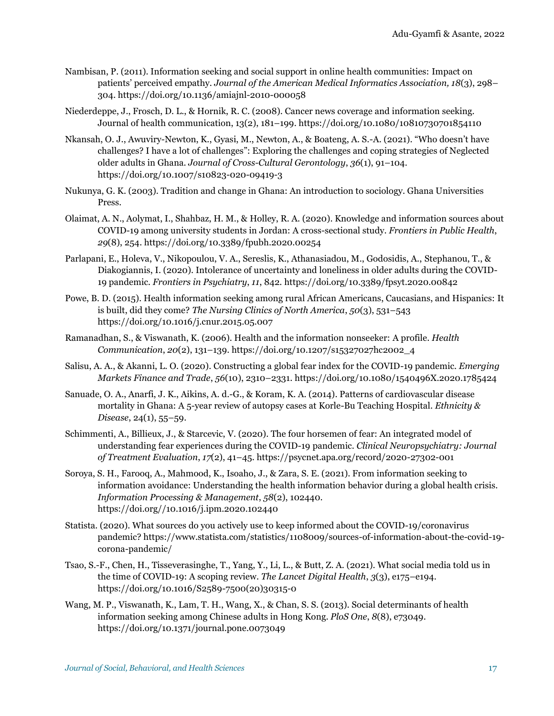- Nambisan, P. (2011). Information seeking and social support in online health communities: Impact on patients' perceived empathy. *Journal of the American Medical Informatics Association, 18*(3), 298– 304.<https://doi.org/10.1136/amiajnl-2010-000058>
- Niederdeppe, J., Frosch, D. L., & Hornik, R. C. (2008). Cancer news coverage and information seeking. Journal of health communication, 13(2), 181–199.<https://doi.org/10.1080/10810730701854110>
- Nkansah, O. J., Awuviry-Newton, K., Gyasi, M., Newton, A., & Boateng, A. S.-A. (2021). "Who doesn't have challenges? I have a lot of challenges": Exploring the challenges and coping strategies of Neglected older adults in Ghana. *Journal of Cross-Cultural Gerontology*, *36*(1), 91–104. <https://doi.org/10.1007/s10823-020-09419-3>
- Nukunya, G. K. (2003). Tradition and change in Ghana: An introduction to sociology. Ghana Universities Press.
- Olaimat, A. N., Aolymat, I., Shahbaz, H. M., & Holley, R. A. (2020). Knowledge and information sources about COVID-19 among university students in Jordan: A cross-sectional study. *Frontiers in Public Health*, *29*(8), 254[. https://doi.org/10.3389/fpubh.2020.00254](https://doi.org/10.3389/fpubh.2020.00254)
- Parlapani, E., Holeva, V., Nikopoulou, V. A., Sereslis, K., Athanasiadou, M., Godosidis, A., Stephanou, T., & Diakogiannis, I. (2020). Intolerance of uncertainty and loneliness in older adults during the COVID-19 pandemic. *Frontiers in Psychiatry*, *11*, 842.<https://doi.org/10.3389/fpsyt.2020.00842>
- Powe, B. D. (2015). Health information seeking among rural African Americans, Caucasians, and Hispanics: It is built, did they come? *The Nursing Clinics of North America*, *50*(3), 531–543 <https://doi.org/10.1016/j.cnur.2015.05.007>
- Ramanadhan, S., & Viswanath, K. (2006). Health and the information nonseeker: A profile. *Health Communication*, *20*(2), 131–139. [https://doi.org/10.1207/s15327027hc2002\\_4](https://doi.org/10.1207/s15327027hc2002_4)
- Salisu, A. A., & Akanni, L. O. (2020). Constructing a global fear index for the COVID-19 pandemic. *Emerging Markets Finance and Trade*, *56*(10), 2310–2331.<https://doi.org/10.1080/1540496X.2020.1785424>
- Sanuade, O. A., Anarfi, J. K., Aikins, A. d.-G., & Koram, K. A. (2014). Patterns of cardiovascular disease mortality in Ghana: A 5-year review of autopsy cases at Korle-Bu Teaching Hospital. *Ethnicity & Disease*, 24(1), 55–59.
- Schimmenti, A., Billieux, J., & Starcevic, V. (2020). The four horsemen of fear: An integrated model of understanding fear experiences during the COVID-19 pandemic. *Clinical Neuropsychiatry: Journal of Treatment Evaluation*, *17*(2), 41–45.<https://psycnet.apa.org/record/2020-27302-001>
- Soroya, S. H., Farooq, A., Mahmood, K., Isoaho, J., & Zara, S. E. (2021). From information seeking to information avoidance: Understanding the health information behavior during a global health crisis. *Information Processing & Management*, *58*(2), 102440. [https://doi.org//10.1016/j.ipm.2020.102440](https://doi.org/10.1016/j.ipm.2020.102440)
- Statista. (2020). What sources do you actively use to keep informed about the COVID-19/coronavirus pandemic[? https://www.statista.com/statistics/1108009/sources-of-information-about-the-covid-19](https://www.statista.com/statistics/1108009/sources-of-information-about-the-covid-19-corona-pandemic/) [corona-pandemic/](https://www.statista.com/statistics/1108009/sources-of-information-about-the-covid-19-corona-pandemic/)
- Tsao, S.-F., Chen, H., Tisseverasinghe, T., Yang, Y., Li, L., & Butt, Z. A. (2021). What social media told us in the time of COVID-19: A scoping review. *The Lancet Digital Health*, *3*(3), e175–e194. [https://doi.org/10.1016/S2589-7500\(20\)30315-0](https://doi.org/10.1016/S2589-7500(20)30315-0)
- Wang, M. P., Viswanath, K., Lam, T. H., Wang, X., & Chan, S. S. (2013). Social determinants of health information seeking among Chinese adults in Hong Kong. *PloS One*, *8*(8), e73049. <https://doi.org/10.1371/journal.pone.0073049>